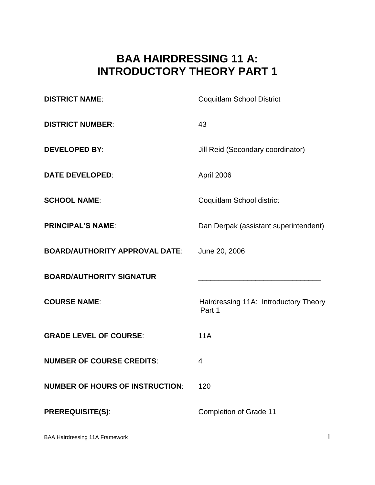# **BAA HAIRDRESSING 11 A: INTRODUCTORY THEORY PART 1**

| <b>DISTRICT NAME:</b>                  | <b>Coquitlam School District</b>                |
|----------------------------------------|-------------------------------------------------|
| <b>DISTRICT NUMBER:</b>                | 43                                              |
| <b>DEVELOPED BY:</b>                   | Jill Reid (Secondary coordinator)               |
| <b>DATE DEVELOPED:</b>                 | April 2006                                      |
| <b>SCHOOL NAME:</b>                    | Coquitlam School district                       |
| <b>PRINCIPAL'S NAME:</b>               | Dan Derpak (assistant superintendent)           |
| <b>BOARD/AUTHORITY APPROVAL DATE:</b>  | June 20, 2006                                   |
| <b>BOARD/AUTHORITY SIGNATUR</b>        |                                                 |
| <b>COURSE NAME:</b>                    | Hairdressing 11A: Introductory Theory<br>Part 1 |
| <b>GRADE LEVEL OF COURSE:</b>          | <b>11A</b>                                      |
| <b>NUMBER OF COURSE CREDITS:</b>       | 4                                               |
| <b>NUMBER OF HOURS OF INSTRUCTION:</b> | 120                                             |
| <b>PREREQUISITE(S):</b>                | <b>Completion of Grade 11</b>                   |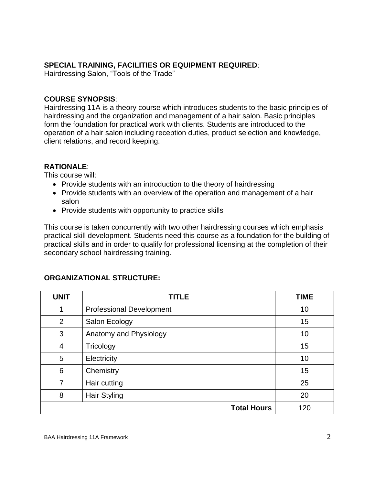# **SPECIAL TRAINING, FACILITIES OR EQUIPMENT REQUIRED**:

Hairdressing Salon, "Tools of the Trade"

#### **COURSE SYNOPSIS**:

Hairdressing 11A is a theory course which introduces students to the basic principles of hairdressing and the organization and management of a hair salon. Basic principles form the foundation for practical work with clients. Students are introduced to the operation of a hair salon including reception duties, product selection and knowledge, client relations, and record keeping.

#### **RATIONALE**:

This course will:

- Provide students with an introduction to the theory of hairdressing
- Provide students with an overview of the operation and management of a hair salon
- Provide students with opportunity to practice skills

This course is taken concurrently with two other hairdressing courses which emphasis practical skill development. Students need this course as a foundation for the building of practical skills and in order to qualify for professional licensing at the completion of their secondary school hairdressing training.

# **ORGANIZATIONAL STRUCTURE:**

| <b>UNIT</b>    | <b>TITLE</b>                    | <b>TIME</b> |
|----------------|---------------------------------|-------------|
|                | <b>Professional Development</b> | 10          |
| $\overline{2}$ | Salon Ecology                   | 15          |
| 3              | Anatomy and Physiology          | 10          |
| $\overline{4}$ | Tricology                       | 15          |
| 5              | Electricity                     | 10          |
| 6              | Chemistry                       | 15          |
| 7              | Hair cutting                    | 25          |
| 8              | <b>Hair Styling</b>             | 20          |
|                | <b>Total Hours</b>              | 120         |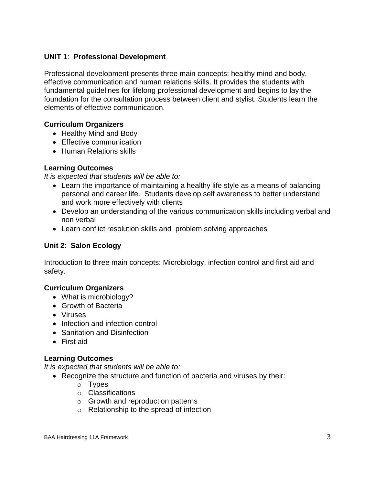# **UNIT 1**: **Professional Development**

Professional development presents three main concepts: healthy mind and body, effective communication and human relations skills. It provides the students with fundamental guidelines for lifelong professional development and begins to lay the foundation for the consultation process between client and stylist. Students learn the elements of effective communication.

## **Curriculum Organizers**

- Healthy Mind and Body
- Effective communication
- Human Relations skills

#### **Learning Outcomes**

*It is expected that students will be able to:*

- Learn the importance of maintaining a healthy life style as a means of balancing personal and career life. Students develop self awareness to better understand and work more effectively with clients
- Develop an understanding of the various communication skills including verbal and non verbal
- Learn conflict resolution skills and problem solving approaches

## **Unit 2**: **Salon Ecology**

Introduction to three main concepts: Microbiology, infection control and first aid and safety.

# **Curriculum Organizers**

- What is microbiology?
- Growth of Bacteria
- Viruses
- Infection and infection control
- Sanitation and Disinfection
- First aid

#### **Learning Outcomes**

*It is expected that students will be able to:*

- Recognize the structure and function of bacteria and viruses by their:
	- o Types
	- o Classifications
	- o Growth and reproduction patterns
	- o Relationship to the spread of infection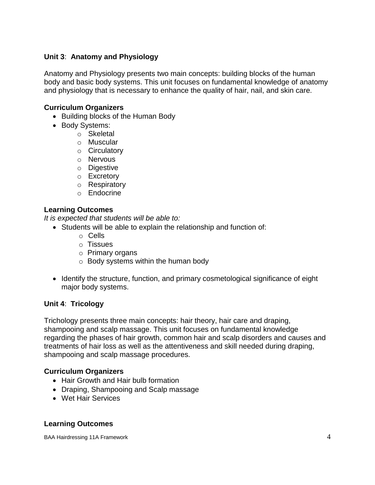## **Unit 3**: **Anatomy and Physiology**

Anatomy and Physiology presents two main concepts: building blocks of the human body and basic body systems. This unit focuses on fundamental knowledge of anatomy and physiology that is necessary to enhance the quality of hair, nail, and skin care.

#### **Curriculum Organizers**

- Building blocks of the Human Body
- Body Systems:
	- o Skeletal
	- o Muscular
	- o Circulatory
	- o Nervous
	- o Digestive
	- o Excretory
	- o Respiratory
	- o Endocrine

#### **Learning Outcomes**

*It is expected that students will be able to:*

- Students will be able to explain the relationship and function of:
	- o Cells
	- o Tissues
	- o Primary organs
	- $\circ$  Body systems within the human body
- Identify the structure, function, and primary cosmetological significance of eight major body systems.

#### **Unit 4**: **Tricology**

Trichology presents three main concepts: hair theory, hair care and draping, shampooing and scalp massage. This unit focuses on fundamental knowledge regarding the phases of hair growth, common hair and scalp disorders and causes and treatments of hair loss as well as the attentiveness and skill needed during draping, shampooing and scalp massage procedures.

#### **Curriculum Organizers**

- Hair Growth and Hair bulb formation
- Draping, Shampooing and Scalp massage
- Wet Hair Services

#### **Learning Outcomes**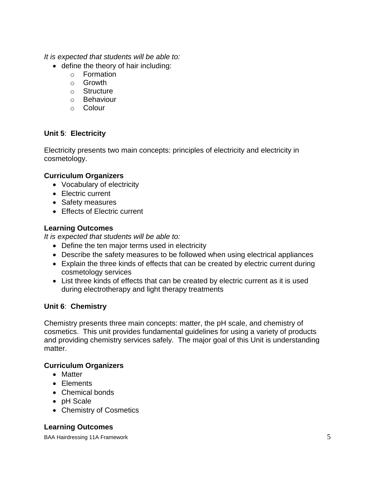*It is expected that students will be able to:*

- define the theory of hair including:
	- o Formation
	- o Growth
	- o Structure
	- o Behaviour
	- o Colour

# **Unit 5**: **Electricity**

Electricity presents two main concepts: principles of electricity and electricity in cosmetology.

# **Curriculum Organizers**

- Vocabulary of electricity
- Electric current
- Safety measures
- Effects of Electric current

# **Learning Outcomes**

*It is expected that students will be able to:*

- Define the ten major terms used in electricity
- Describe the safety measures to be followed when using electrical appliances
- Explain the three kinds of effects that can be created by electric current during cosmetology services
- List three kinds of effects that can be created by electric current as it is used during electrotherapy and light therapy treatments

# **Unit 6**: **Chemistry**

Chemistry presents three main concepts: matter, the pH scale, and chemistry of cosmetics. This unit provides fundamental guidelines for using a variety of products and providing chemistry services safely. The major goal of this Unit is understanding matter.

#### **Curriculum Organizers**

- Matter
- Flements
- Chemical bonds
- pH Scale
- Chemistry of Cosmetics

# **Learning Outcomes**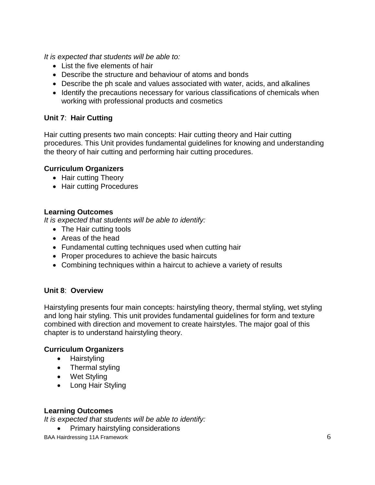*It is expected that students will be able to:*

- List the five elements of hair
- Describe the structure and behaviour of atoms and bonds
- Describe the ph scale and values associated with water, acids, and alkalines
- Identify the precautions necessary for various classifications of chemicals when working with professional products and cosmetics

# **Unit 7**: **Hair Cutting**

Hair cutting presents two main concepts: Hair cutting theory and Hair cutting procedures. This Unit provides fundamental guidelines for knowing and understanding the theory of hair cutting and performing hair cutting procedures.

# **Curriculum Organizers**

- Hair cutting Theory
- Hair cutting Procedures

#### **Learning Outcomes**

*It is expected that students will be able to identify:*

- The Hair cutting tools
- Areas of the head
- Fundamental cutting techniques used when cutting hair
- Proper procedures to achieve the basic haircuts
- Combining techniques within a haircut to achieve a variety of results

# **Unit 8**: **Overview**

Hairstyling presents four main concepts: hairstyling theory, thermal styling, wet styling and long hair styling. This unit provides fundamental guidelines for form and texture combined with direction and movement to create hairstyles. The major goal of this chapter is to understand hairstyling theory.

#### **Curriculum Organizers**

- Hairstyling
- Thermal styling
- Wet Styling
- Long Hair Styling

#### **Learning Outcomes**

*It is expected that students will be able to identify:*

• Primary hairstyling considerations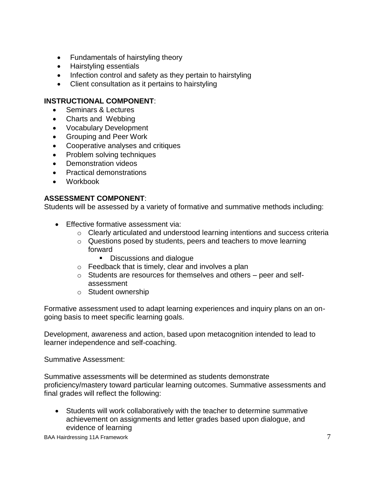- Fundamentals of hairstyling theory
- Hairstyling essentials
- Infection control and safety as they pertain to hairstyling
- Client consultation as it pertains to hairstyling

## **INSTRUCTIONAL COMPONENT**:

- Seminars & Lectures
- Charts and Webbing
- Vocabulary Development
- Grouping and Peer Work
- Cooperative analyses and critiques
- Problem solving techniques
- Demonstration videos
- Practical demonstrations
- Workbook

# **ASSESSMENT COMPONENT**:

Students will be assessed by a variety of formative and summative methods including:

- **Effective formative assessment via:** 
	- o Clearly articulated and understood learning intentions and success criteria
	- o Questions posed by students, peers and teachers to move learning forward
		- Discussions and dialogue
	- $\circ$  Feedback that is timely, clear and involves a plan
	- $\circ$  Students are resources for themselves and others peer and selfassessment
	- o Student ownership

Formative assessment used to adapt learning experiences and inquiry plans on an ongoing basis to meet specific learning goals.

Development, awareness and action, based upon metacognition intended to lead to learner independence and self-coaching.

Summative Assessment:

Summative assessments will be determined as students demonstrate proficiency/mastery toward particular learning outcomes. Summative assessments and final grades will reflect the following:

 Students will work collaboratively with the teacher to determine summative achievement on assignments and letter grades based upon dialogue, and evidence of learning